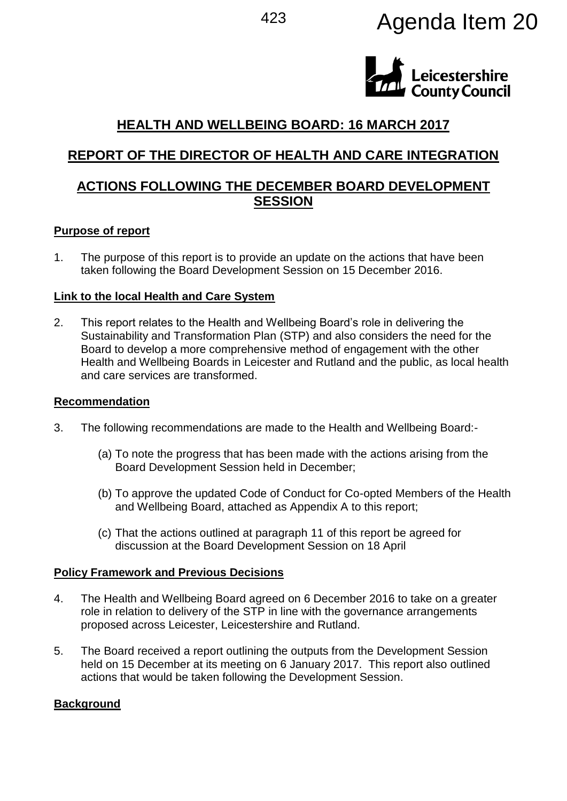# <sup>423</sup> Agenda Item 20



# **HEALTH AND WELLBEING BOARD: 16 MARCH 2017**

# **REPORT OF THE DIRECTOR OF HEALTH AND CARE INTEGRATION**

# **ACTIONS FOLLOWING THE DECEMBER BOARD DEVELOPMENT SESSION**

#### **Purpose of report**

1. The purpose of this report is to provide an update on the actions that have been taken following the Board Development Session on 15 December 2016.

#### **Link to the local Health and Care System**

2. This report relates to the Health and Wellbeing Board's role in delivering the Sustainability and Transformation Plan (STP) and also considers the need for the Board to develop a more comprehensive method of engagement with the other Health and Wellbeing Boards in Leicester and Rutland and the public, as local health and care services are transformed.

#### **Recommendation**

- 3. The following recommendations are made to the Health and Wellbeing Board:-
	- (a) To note the progress that has been made with the actions arising from the Board Development Session held in December;
	- (b) To approve the updated Code of Conduct for Co-opted Members of the Health and Wellbeing Board, attached as Appendix A to this report;
	- (c) That the actions outlined at paragraph 11 of this report be agreed for discussion at the Board Development Session on 18 April

#### **Policy Framework and Previous Decisions**

- 4. The Health and Wellbeing Board agreed on 6 December 2016 to take on a greater role in relation to delivery of the STP in line with the governance arrangements proposed across Leicester, Leicestershire and Rutland.
- 5. The Board received a report outlining the outputs from the Development Session held on 15 December at its meeting on 6 January 2017. This report also outlined actions that would be taken following the Development Session.

#### **Background**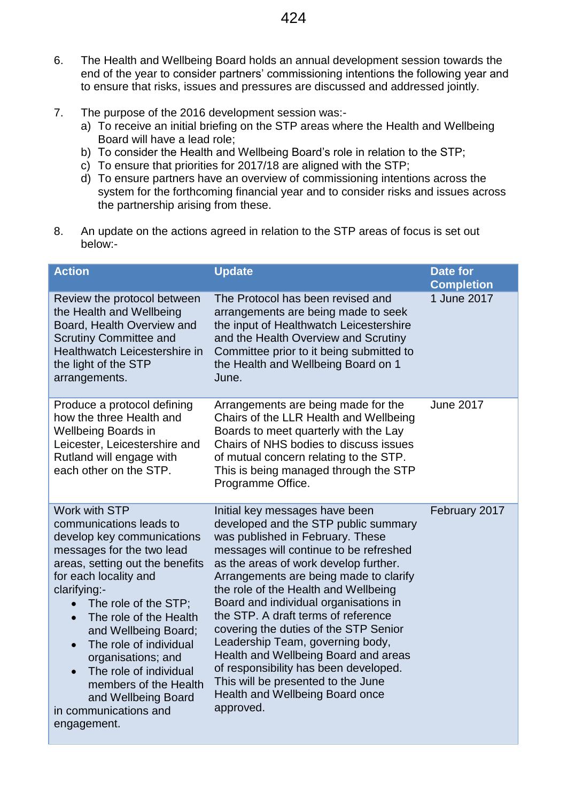- 6. The Health and Wellbeing Board holds an annual development session towards the end of the year to consider partners' commissioning intentions the following year and to ensure that risks, issues and pressures are discussed and addressed jointly.
- 7. The purpose of the 2016 development session was:
	- a) To receive an initial briefing on the STP areas where the Health and Wellbeing Board will have a lead role;
	- b) To consider the Health and Wellbeing Board's role in relation to the STP;
	- c) To ensure that priorities for 2017/18 are aligned with the STP;
	- d) To ensure partners have an overview of commissioning intentions across the system for the forthcoming financial year and to consider risks and issues across the partnership arising from these.
- 8. An update on the actions agreed in relation to the STP areas of focus is set out below:-

| <b>Action</b>                                                                                                                                                                                                                                                                                                                                                                                                                                                      | <b>Update</b>                                                                                                                                                                                                                                                                                                                                                                                                                                                                                                                                                                                                       | <b>Date for</b><br><b>Completion</b> |
|--------------------------------------------------------------------------------------------------------------------------------------------------------------------------------------------------------------------------------------------------------------------------------------------------------------------------------------------------------------------------------------------------------------------------------------------------------------------|---------------------------------------------------------------------------------------------------------------------------------------------------------------------------------------------------------------------------------------------------------------------------------------------------------------------------------------------------------------------------------------------------------------------------------------------------------------------------------------------------------------------------------------------------------------------------------------------------------------------|--------------------------------------|
| Review the protocol between<br>the Health and Wellbeing<br>Board, Health Overview and<br><b>Scrutiny Committee and</b><br>Healthwatch Leicestershire in<br>the light of the STP<br>arrangements.                                                                                                                                                                                                                                                                   | The Protocol has been revised and<br>arrangements are being made to seek<br>the input of Healthwatch Leicestershire<br>and the Health Overview and Scrutiny<br>Committee prior to it being submitted to<br>the Health and Wellbeing Board on 1<br>June.                                                                                                                                                                                                                                                                                                                                                             | 1 June 2017                          |
| Produce a protocol defining<br>how the three Health and<br>Wellbeing Boards in<br>Leicester, Leicestershire and<br>Rutland will engage with<br>each other on the STP.                                                                                                                                                                                                                                                                                              | Arrangements are being made for the<br>Chairs of the LLR Health and Wellbeing<br>Boards to meet quarterly with the Lay<br>Chairs of NHS bodies to discuss issues<br>of mutual concern relating to the STP.<br>This is being managed through the STP<br>Programme Office.                                                                                                                                                                                                                                                                                                                                            | <b>June 2017</b>                     |
| Work with STP<br>communications leads to<br>develop key communications<br>messages for the two lead<br>areas, setting out the benefits<br>for each locality and<br>clarifying:-<br>The role of the STP;<br>$\bullet$<br>The role of the Health<br>$\bullet$<br>and Wellbeing Board;<br>The role of individual<br>organisations; and<br>The role of individual<br>$\bullet$<br>members of the Health<br>and Wellbeing Board<br>in communications and<br>engagement. | Initial key messages have been<br>developed and the STP public summary<br>was published in February. These<br>messages will continue to be refreshed<br>as the areas of work develop further.<br>Arrangements are being made to clarify<br>the role of the Health and Wellbeing<br>Board and individual organisations in<br>the STP. A draft terms of reference<br>covering the duties of the STP Senior<br>Leadership Team, governing body,<br>Health and Wellbeing Board and areas<br>of responsibility has been developed.<br>This will be presented to the June<br>Health and Wellbeing Board once<br>approved. | February 2017                        |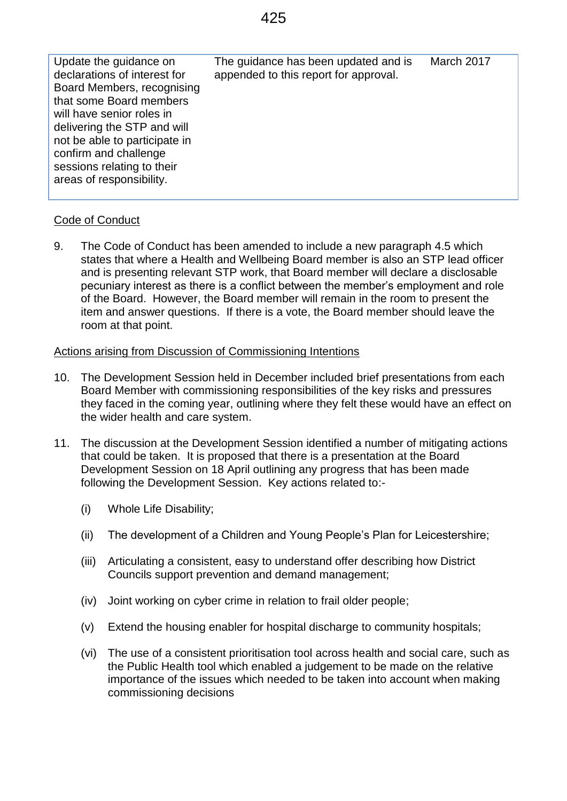| Update the guidance on<br>declarations of interest for<br>Board Members, recognising<br>that some Board members<br>will have senior roles in<br>delivering the STP and will<br>not be able to participate in<br>confirm and challenge<br>sessions relating to their<br>areas of responsibility. | The guidance has been updated and is<br>appended to this report for approval. | March 2017 |
|-------------------------------------------------------------------------------------------------------------------------------------------------------------------------------------------------------------------------------------------------------------------------------------------------|-------------------------------------------------------------------------------|------------|
|                                                                                                                                                                                                                                                                                                 |                                                                               |            |

#### Code of Conduct

9. The Code of Conduct has been amended to include a new paragraph 4.5 which states that where a Health and Wellbeing Board member is also an STP lead officer and is presenting relevant STP work, that Board member will declare a disclosable pecuniary interest as there is a conflict between the member's employment and role of the Board. However, the Board member will remain in the room to present the item and answer questions. If there is a vote, the Board member should leave the room at that point.

#### Actions arising from Discussion of Commissioning Intentions

- 10. The Development Session held in December included brief presentations from each Board Member with commissioning responsibilities of the key risks and pressures they faced in the coming year, outlining where they felt these would have an effect on the wider health and care system.
- 11. The discussion at the Development Session identified a number of mitigating actions that could be taken. It is proposed that there is a presentation at the Board Development Session on 18 April outlining any progress that has been made following the Development Session. Key actions related to:-
	- (i) Whole Life Disability;
	- (ii) The development of a Children and Young People's Plan for Leicestershire;
	- (iii) Articulating a consistent, easy to understand offer describing how District Councils support prevention and demand management;
	- (iv) Joint working on cyber crime in relation to frail older people;
	- (v) Extend the housing enabler for hospital discharge to community hospitals;
	- (vi) The use of a consistent prioritisation tool across health and social care, such as the Public Health tool which enabled a judgement to be made on the relative importance of the issues which needed to be taken into account when making commissioning decisions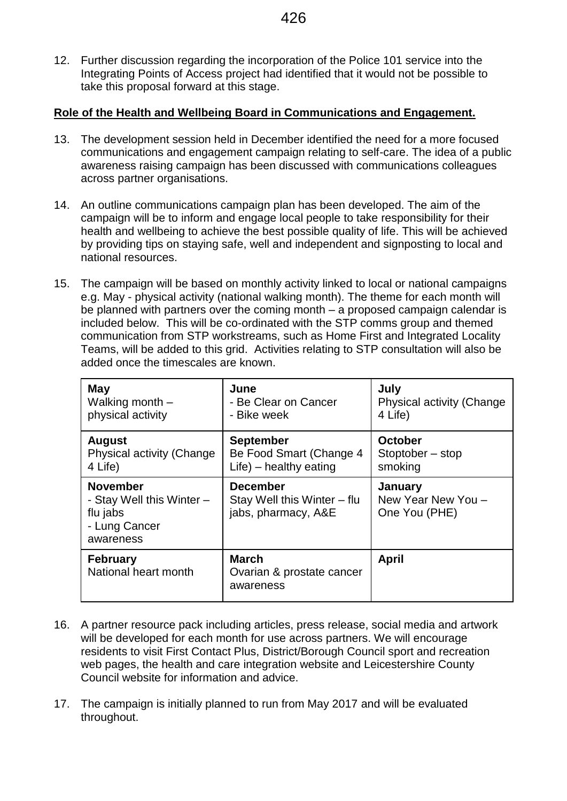12. Further discussion regarding the incorporation of the Police 101 service into the Integrating Points of Access project had identified that it would not be possible to take this proposal forward at this stage.

#### **Role of the Health and Wellbeing Board in Communications and Engagement.**

- 13. The development session held in December identified the need for a more focused communications and engagement campaign relating to self-care. The idea of a public awareness raising campaign has been discussed with communications colleagues across partner organisations.
- 14. An outline communications campaign plan has been developed. The aim of the campaign will be to inform and engage local people to take responsibility for their health and wellbeing to achieve the best possible quality of life. This will be achieved by providing tips on staying safe, well and independent and signposting to local and national resources.
- 15. The campaign will be based on monthly activity linked to local or national campaigns e.g. May - physical activity (national walking month). The theme for each month will be planned with partners over the coming month – a proposed campaign calendar is included below. This will be co-ordinated with the STP comms group and themed communication from STP workstreams, such as Home First and Integrated Locality Teams, will be added to this grid. Activities relating to STP consultation will also be added once the timescales are known.

| <b>May</b>                                                                             | June                                                                  | July                                           |
|----------------------------------------------------------------------------------------|-----------------------------------------------------------------------|------------------------------------------------|
| Walking month -                                                                        | - Be Clear on Cancer                                                  | <b>Physical activity (Change)</b>              |
| physical activity                                                                      | - Bike week                                                           | 4 Life)                                        |
| <b>August</b>                                                                          | <b>September</b>                                                      | <b>October</b>                                 |
| <b>Physical activity (Change)</b>                                                      | Be Food Smart (Change 4                                               | Stoptober - stop                               |
| 4 Life)                                                                                | $Life$ ) – healthy eating                                             | smoking                                        |
| <b>November</b><br>- Stay Well this Winter -<br>flu jabs<br>- Lung Cancer<br>awareness | <b>December</b><br>Stay Well this Winter – flu<br>jabs, pharmacy, A&E | January<br>New Year New You -<br>One You (PHE) |
| <b>February</b><br>National heart month                                                | <b>March</b><br>Ovarian & prostate cancer<br>awareness                | <b>April</b>                                   |

- 16. A partner resource pack including articles, press release, social media and artwork will be developed for each month for use across partners. We will encourage residents to visit First Contact Plus, District/Borough Council sport and recreation web pages, the health and care integration website and Leicestershire County Council website for information and advice.
- 17. The campaign is initially planned to run from May 2017 and will be evaluated throughout.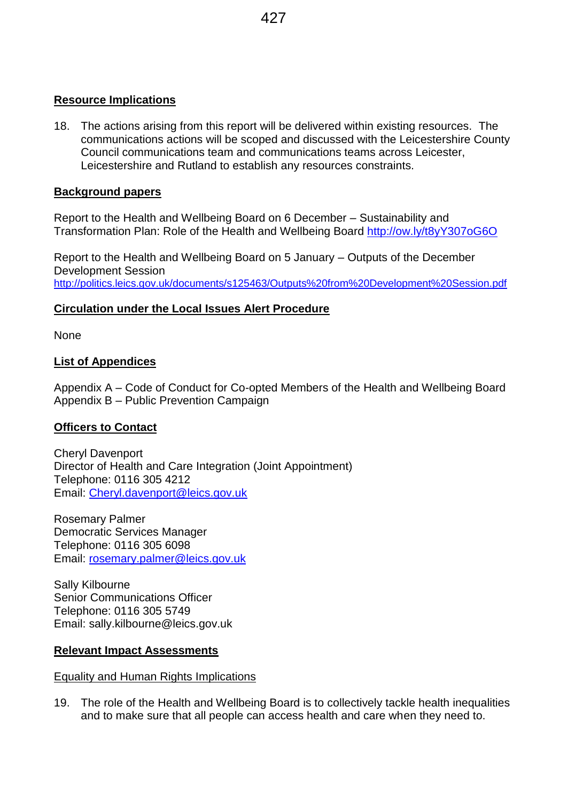### **Resource Implications**

18. The actions arising from this report will be delivered within existing resources. The communications actions will be scoped and discussed with the Leicestershire County Council communications team and communications teams across Leicester, Leicestershire and Rutland to establish any resources constraints.

## **Background papers**

Report to the Health and Wellbeing Board on 6 December – Sustainability and Transformation Plan: Role of the Health and Wellbeing Board <http://ow.ly/t8yY307oG6O>

Report to the Health and Wellbeing Board on 5 January – Outputs of the December Development Session <http://politics.leics.gov.uk/documents/s125463/Outputs%20from%20Development%20Session.pdf>

## **Circulation under the Local Issues Alert Procedure**

None

#### **List of Appendices**

Appendix A – Code of Conduct for Co-opted Members of the Health and Wellbeing Board Appendix B – Public Prevention Campaign

#### **Officers to Contact**

Cheryl Davenport Director of Health and Care Integration (Joint Appointment) Telephone: 0116 305 4212 Email: [Cheryl.davenport@leics.gov.uk](mailto:Cheryl.davenport@leics.gov.uk)

Rosemary Palmer Democratic Services Manager Telephone: 0116 305 6098 Email: [rosemary.palmer@leics.gov.uk](mailto:rosemary.palmer@leics.gov.uk)

Sally Kilbourne Senior Communications Officer Telephone: 0116 305 5749 Email: sally.kilbourne@leics.gov.uk

#### **Relevant Impact Assessments**

Equality and Human Rights Implications

19. The role of the Health and Wellbeing Board is to collectively tackle health inequalities and to make sure that all people can access health and care when they need to.